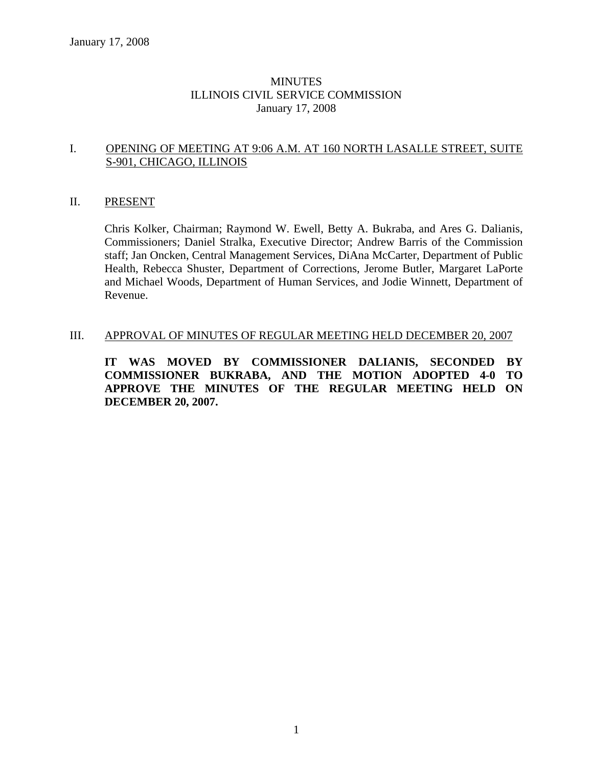# MINUTES ILLINOIS CIVIL SERVICE COMMISSION January 17, 2008

# I. OPENING OF MEETING AT 9:06 A.M. AT 160 NORTH LASALLE STREET, SUITE S-901, CHICAGO, ILLINOIS

### II. PRESENT

Chris Kolker, Chairman; Raymond W. Ewell, Betty A. Bukraba, and Ares G. Dalianis, Commissioners; Daniel Stralka, Executive Director; Andrew Barris of the Commission staff; Jan Oncken, Central Management Services, DiAna McCarter, Department of Public Health, Rebecca Shuster, Department of Corrections, Jerome Butler, Margaret LaPorte and Michael Woods, Department of Human Services, and Jodie Winnett, Department of Revenue.

### III. APPROVAL OF MINUTES OF REGULAR MEETING HELD DECEMBER 20, 2007

**IT WAS MOVED BY COMMISSIONER DALIANIS, SECONDED BY COMMISSIONER BUKRABA, AND THE MOTION ADOPTED 4-0 TO APPROVE THE MINUTES OF THE REGULAR MEETING HELD ON DECEMBER 20, 2007.**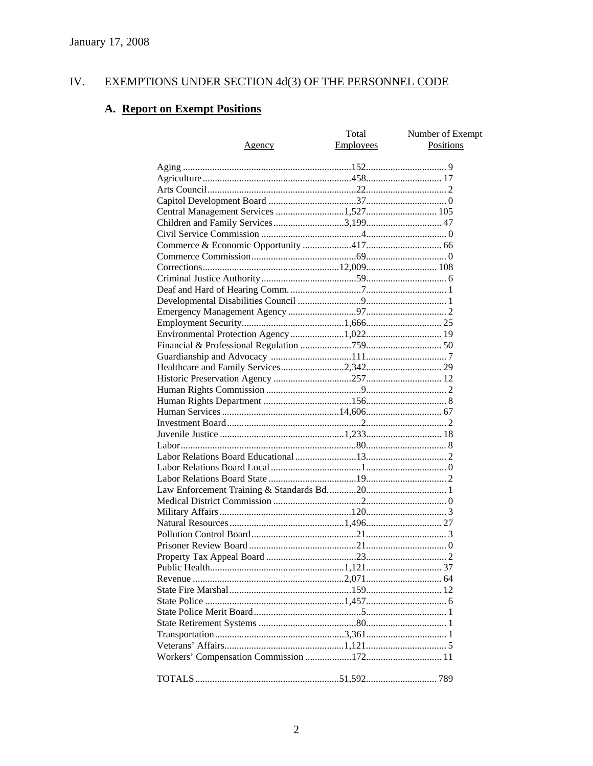#### IV. **EXEMPTIONS UNDER SECTION 4d(3) OF THE PERSONNEL CODE**

# A. Report on Exempt Positions

| <u>Agency</u>                         | Total<br>Employees | Number of Exempt<br><b>Positions</b> |
|---------------------------------------|--------------------|--------------------------------------|
|                                       |                    |                                      |
|                                       |                    |                                      |
|                                       |                    |                                      |
|                                       |                    |                                      |
| Central Management Services 1,527 105 |                    |                                      |
|                                       |                    |                                      |
|                                       |                    |                                      |
|                                       |                    |                                      |
|                                       |                    |                                      |
|                                       |                    |                                      |
|                                       |                    |                                      |
|                                       |                    |                                      |
|                                       |                    |                                      |
|                                       |                    |                                      |
|                                       |                    |                                      |
|                                       |                    |                                      |
|                                       |                    |                                      |
|                                       |                    |                                      |
|                                       |                    |                                      |
|                                       |                    |                                      |
|                                       |                    |                                      |
|                                       |                    |                                      |
|                                       |                    |                                      |
|                                       |                    |                                      |
|                                       |                    |                                      |
|                                       |                    |                                      |
|                                       |                    |                                      |
|                                       |                    |                                      |
|                                       |                    |                                      |
|                                       |                    |                                      |
|                                       |                    |                                      |
|                                       |                    |                                      |
|                                       |                    |                                      |
|                                       |                    |                                      |
|                                       |                    |                                      |
|                                       |                    |                                      |
|                                       |                    |                                      |
|                                       |                    |                                      |
|                                       |                    |                                      |
|                                       |                    |                                      |
|                                       |                    |                                      |
|                                       |                    |                                      |
|                                       |                    |                                      |
|                                       |                    |                                      |
|                                       |                    |                                      |
|                                       |                    |                                      |
|                                       |                    |                                      |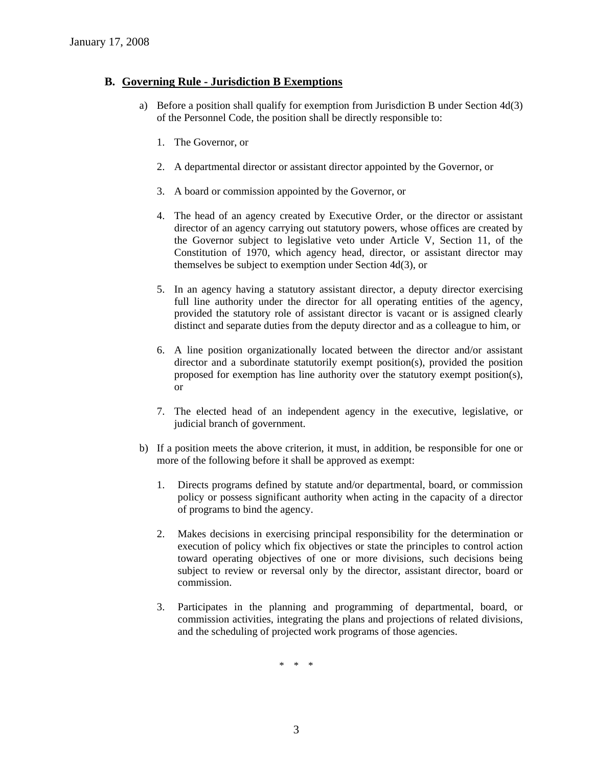# **B. Governing Rule - Jurisdiction B Exemptions**

- a) Before a position shall qualify for exemption from Jurisdiction B under Section 4d(3) of the Personnel Code, the position shall be directly responsible to:
	- 1. The Governor, or
	- 2. A departmental director or assistant director appointed by the Governor, or
	- 3. A board or commission appointed by the Governor, or
	- 4. The head of an agency created by Executive Order, or the director or assistant director of an agency carrying out statutory powers, whose offices are created by the Governor subject to legislative veto under Article V, Section 11, of the Constitution of 1970, which agency head, director, or assistant director may themselves be subject to exemption under Section 4d(3), or
	- 5. In an agency having a statutory assistant director, a deputy director exercising full line authority under the director for all operating entities of the agency, provided the statutory role of assistant director is vacant or is assigned clearly distinct and separate duties from the deputy director and as a colleague to him, or
	- 6. A line position organizationally located between the director and/or assistant director and a subordinate statutorily exempt position(s), provided the position proposed for exemption has line authority over the statutory exempt position(s), or
	- 7. The elected head of an independent agency in the executive, legislative, or judicial branch of government.
- b) If a position meets the above criterion, it must, in addition, be responsible for one or more of the following before it shall be approved as exempt:
	- 1. Directs programs defined by statute and/or departmental, board, or commission policy or possess significant authority when acting in the capacity of a director of programs to bind the agency.
	- 2. Makes decisions in exercising principal responsibility for the determination or execution of policy which fix objectives or state the principles to control action toward operating objectives of one or more divisions, such decisions being subject to review or reversal only by the director, assistant director, board or commission.
	- 3. Participates in the planning and programming of departmental, board, or commission activities, integrating the plans and projections of related divisions, and the scheduling of projected work programs of those agencies.

\* \* \*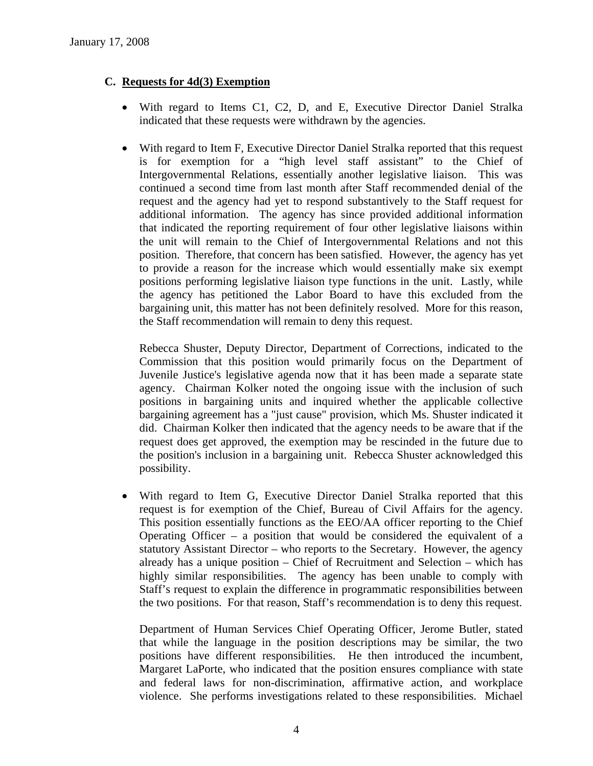# **C. Requests for 4d(3) Exemption**

- With regard to Items C1, C2, D, and E, Executive Director Daniel Stralka indicated that these requests were withdrawn by the agencies.
- With regard to Item F, Executive Director Daniel Stralka reported that this request is for exemption for a "high level staff assistant" to the Chief of Intergovernmental Relations, essentially another legislative liaison. This was continued a second time from last month after Staff recommended denial of the request and the agency had yet to respond substantively to the Staff request for additional information. The agency has since provided additional information that indicated the reporting requirement of four other legislative liaisons within the unit will remain to the Chief of Intergovernmental Relations and not this position. Therefore, that concern has been satisfied. However, the agency has yet to provide a reason for the increase which would essentially make six exempt positions performing legislative liaison type functions in the unit. Lastly, while the agency has petitioned the Labor Board to have this excluded from the bargaining unit, this matter has not been definitely resolved. More for this reason, the Staff recommendation will remain to deny this request.

Rebecca Shuster, Deputy Director, Department of Corrections, indicated to the Commission that this position would primarily focus on the Department of Juvenile Justice's legislative agenda now that it has been made a separate state agency. Chairman Kolker noted the ongoing issue with the inclusion of such positions in bargaining units and inquired whether the applicable collective bargaining agreement has a "just cause" provision, which Ms. Shuster indicated it did. Chairman Kolker then indicated that the agency needs to be aware that if the request does get approved, the exemption may be rescinded in the future due to the position's inclusion in a bargaining unit. Rebecca Shuster acknowledged this possibility.

• With regard to Item G, Executive Director Daniel Stralka reported that this request is for exemption of the Chief, Bureau of Civil Affairs for the agency. This position essentially functions as the EEO/AA officer reporting to the Chief Operating Officer – a position that would be considered the equivalent of a statutory Assistant Director – who reports to the Secretary. However, the agency already has a unique position – Chief of Recruitment and Selection – which has highly similar responsibilities. The agency has been unable to comply with Staff's request to explain the difference in programmatic responsibilities between the two positions. For that reason, Staff's recommendation is to deny this request.

Department of Human Services Chief Operating Officer, Jerome Butler, stated that while the language in the position descriptions may be similar, the two positions have different responsibilities. He then introduced the incumbent, Margaret LaPorte, who indicated that the position ensures compliance with state and federal laws for non-discrimination, affirmative action, and workplace violence. She performs investigations related to these responsibilities. Michael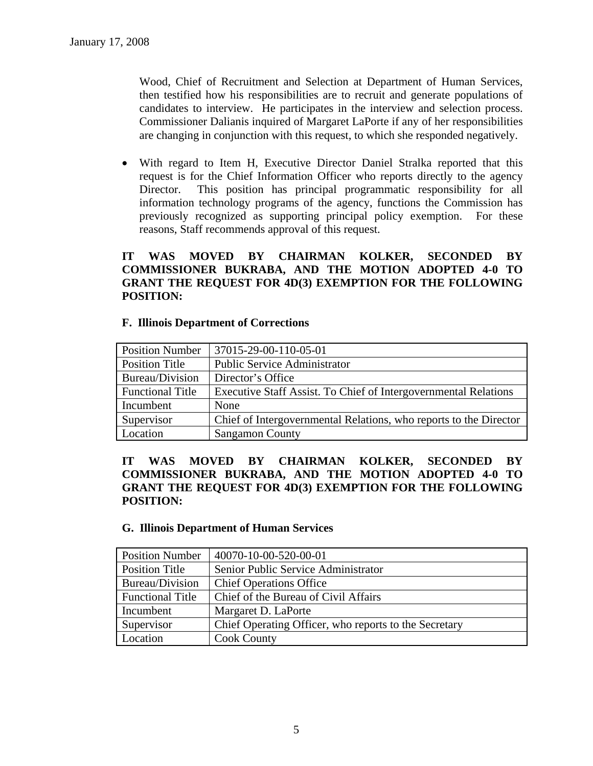Wood, Chief of Recruitment and Selection at Department of Human Services, then testified how his responsibilities are to recruit and generate populations of candidates to interview. He participates in the interview and selection process. Commissioner Dalianis inquired of Margaret LaPorte if any of her responsibilities are changing in conjunction with this request, to which she responded negatively.

• With regard to Item H, Executive Director Daniel Stralka reported that this request is for the Chief Information Officer who reports directly to the agency Director. This position has principal programmatic responsibility for all information technology programs of the agency, functions the Commission has previously recognized as supporting principal policy exemption. For these reasons, Staff recommends approval of this request.

# **IT WAS MOVED BY CHAIRMAN KOLKER, SECONDED BY COMMISSIONER BUKRABA, AND THE MOTION ADOPTED 4-0 TO GRANT THE REQUEST FOR 4D(3) EXEMPTION FOR THE FOLLOWING POSITION:**

### **F. Illinois Department of Corrections**

| <b>Position Number</b>  | 37015-29-00-110-05-01                                             |
|-------------------------|-------------------------------------------------------------------|
| Position Title          | <b>Public Service Administrator</b>                               |
| Bureau/Division         | Director's Office                                                 |
| <b>Functional Title</b> | Executive Staff Assist. To Chief of Intergovernmental Relations   |
| Incumbent               | None                                                              |
| Supervisor              | Chief of Intergovernmental Relations, who reports to the Director |
| Location                | <b>Sangamon County</b>                                            |

# **IT WAS MOVED BY CHAIRMAN KOLKER, SECONDED BY COMMISSIONER BUKRABA, AND THE MOTION ADOPTED 4-0 TO GRANT THE REQUEST FOR 4D(3) EXEMPTION FOR THE FOLLOWING POSITION:**

#### **G. Illinois Department of Human Services**

| <b>Position Number</b>  | 40070-10-00-520-00-01                                 |  |
|-------------------------|-------------------------------------------------------|--|
| Position Title          | Senior Public Service Administrator                   |  |
| Bureau/Division         | <b>Chief Operations Office</b>                        |  |
| <b>Functional Title</b> | Chief of the Bureau of Civil Affairs                  |  |
| Incumbent               | Margaret D. LaPorte                                   |  |
| Supervisor              | Chief Operating Officer, who reports to the Secretary |  |
| Location                | <b>Cook County</b>                                    |  |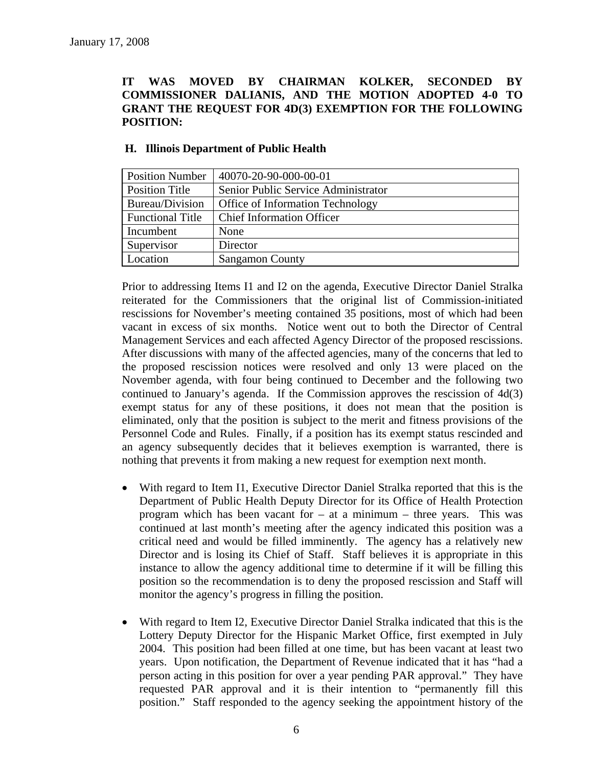# **IT WAS MOVED BY CHAIRMAN KOLKER, SECONDED BY COMMISSIONER DALIANIS, AND THE MOTION ADOPTED 4-0 TO GRANT THE REQUEST FOR 4D(3) EXEMPTION FOR THE FOLLOWING POSITION:**

| <b>Position Number</b>  | 40070-20-90-000-00-01                   |  |
|-------------------------|-----------------------------------------|--|
| <b>Position Title</b>   | Senior Public Service Administrator     |  |
| Bureau/Division         | <b>Office of Information Technology</b> |  |
| <b>Functional Title</b> | <b>Chief Information Officer</b>        |  |
| Incumbent               | None                                    |  |
| Supervisor              | Director                                |  |
| Location                | <b>Sangamon County</b>                  |  |

# **H. Illinois Department of Public Health**

Prior to addressing Items I1 and I2 on the agenda, Executive Director Daniel Stralka reiterated for the Commissioners that the original list of Commission-initiated rescissions for November's meeting contained 35 positions, most of which had been vacant in excess of six months. Notice went out to both the Director of Central Management Services and each affected Agency Director of the proposed rescissions. After discussions with many of the affected agencies, many of the concerns that led to the proposed rescission notices were resolved and only 13 were placed on the November agenda, with four being continued to December and the following two continued to January's agenda. If the Commission approves the rescission of 4d(3) exempt status for any of these positions, it does not mean that the position is eliminated, only that the position is subject to the merit and fitness provisions of the Personnel Code and Rules. Finally, if a position has its exempt status rescinded and an agency subsequently decides that it believes exemption is warranted, there is nothing that prevents it from making a new request for exemption next month.

- With regard to Item I1, Executive Director Daniel Stralka reported that this is the Department of Public Health Deputy Director for its Office of Health Protection program which has been vacant for  $-$  at a minimum  $-$  three years. This was continued at last month's meeting after the agency indicated this position was a critical need and would be filled imminently. The agency has a relatively new Director and is losing its Chief of Staff. Staff believes it is appropriate in this instance to allow the agency additional time to determine if it will be filling this position so the recommendation is to deny the proposed rescission and Staff will monitor the agency's progress in filling the position.
- With regard to Item I2, Executive Director Daniel Stralka indicated that this is the Lottery Deputy Director for the Hispanic Market Office, first exempted in July 2004. This position had been filled at one time, but has been vacant at least two years. Upon notification, the Department of Revenue indicated that it has "had a person acting in this position for over a year pending PAR approval." They have requested PAR approval and it is their intention to "permanently fill this position." Staff responded to the agency seeking the appointment history of the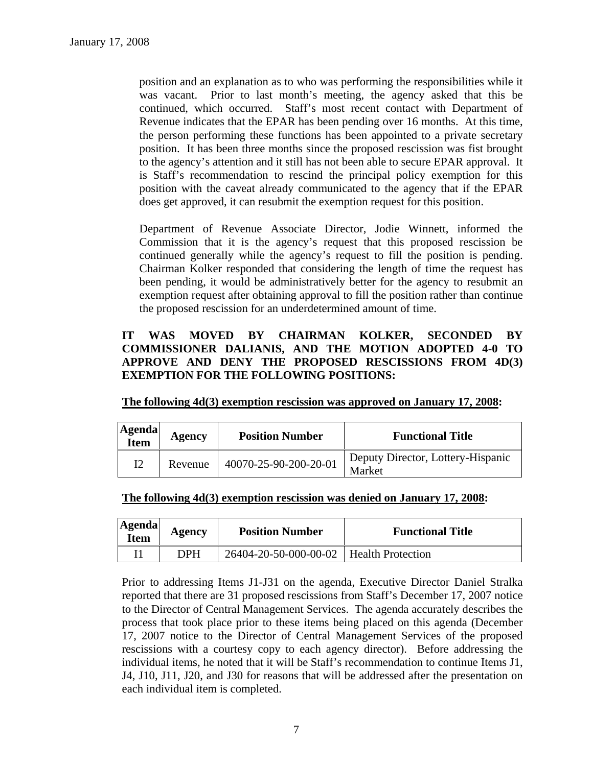position and an explanation as to who was performing the responsibilities while it was vacant. Prior to last month's meeting, the agency asked that this be continued, which occurred. Staff's most recent contact with Department of Revenue indicates that the EPAR has been pending over 16 months. At this time, the person performing these functions has been appointed to a private secretary position. It has been three months since the proposed rescission was fist brought to the agency's attention and it still has not been able to secure EPAR approval. It is Staff's recommendation to rescind the principal policy exemption for this position with the caveat already communicated to the agency that if the EPAR does get approved, it can resubmit the exemption request for this position.

Department of Revenue Associate Director, Jodie Winnett, informed the Commission that it is the agency's request that this proposed rescission be continued generally while the agency's request to fill the position is pending. Chairman Kolker responded that considering the length of time the request has been pending, it would be administratively better for the agency to resubmit an exemption request after obtaining approval to fill the position rather than continue the proposed rescission for an underdetermined amount of time.

# **IT WAS MOVED BY CHAIRMAN KOLKER, SECONDED BY COMMISSIONER DALIANIS, AND THE MOTION ADOPTED 4-0 TO APPROVE AND DENY THE PROPOSED RESCISSIONS FROM 4D(3) EXEMPTION FOR THE FOLLOWING POSITIONS:**

| The following 4d(3) exemption rescission was approved on January 17, 2008: |
|----------------------------------------------------------------------------|
|----------------------------------------------------------------------------|

| <b>Agenda</b><br>Item | Agency  | <b>Position Number</b> | <b>Functional Title</b>                     |
|-----------------------|---------|------------------------|---------------------------------------------|
|                       | Revenue | 40070-25-90-200-20-01  | Deputy Director, Lottery-Hispanic<br>Market |

|  | The following 4d(3) exemption rescission was denied on January 17, 2008: |  |  |  |  |  |  |
|--|--------------------------------------------------------------------------|--|--|--|--|--|--|
|--|--------------------------------------------------------------------------|--|--|--|--|--|--|

| <b>Agenda</b><br><b>Item</b> | Agency     | <b>Position Number</b> | <b>Functional Title</b>  |
|------------------------------|------------|------------------------|--------------------------|
|                              | <b>DPH</b> | 26404-20-50-000-00-02  | <b>Health Protection</b> |

Prior to addressing Items J1-J31 on the agenda, Executive Director Daniel Stralka reported that there are 31 proposed rescissions from Staff's December 17, 2007 notice to the Director of Central Management Services. The agenda accurately describes the process that took place prior to these items being placed on this agenda (December 17, 2007 notice to the Director of Central Management Services of the proposed rescissions with a courtesy copy to each agency director). Before addressing the individual items, he noted that it will be Staff's recommendation to continue Items J1, J4, J10, J11, J20, and J30 for reasons that will be addressed after the presentation on each individual item is completed.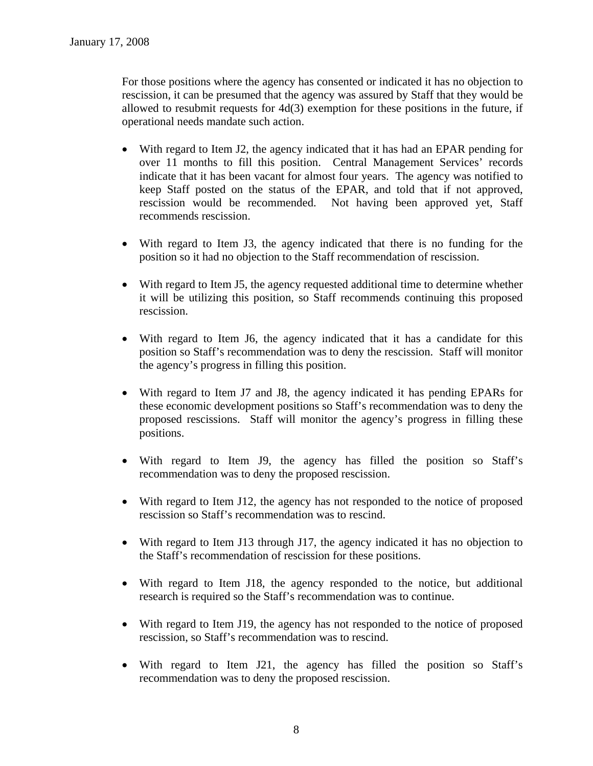For those positions where the agency has consented or indicated it has no objection to rescission, it can be presumed that the agency was assured by Staff that they would be allowed to resubmit requests for 4d(3) exemption for these positions in the future, if operational needs mandate such action.

- With regard to Item J2, the agency indicated that it has had an EPAR pending for over 11 months to fill this position. Central Management Services' records indicate that it has been vacant for almost four years. The agency was notified to keep Staff posted on the status of the EPAR, and told that if not approved, rescission would be recommended. Not having been approved yet, Staff recommends rescission.
- With regard to Item J3, the agency indicated that there is no funding for the position so it had no objection to the Staff recommendation of rescission.
- With regard to Item J5, the agency requested additional time to determine whether it will be utilizing this position, so Staff recommends continuing this proposed rescission.
- With regard to Item J6, the agency indicated that it has a candidate for this position so Staff's recommendation was to deny the rescission. Staff will monitor the agency's progress in filling this position.
- With regard to Item J7 and J8, the agency indicated it has pending EPARs for these economic development positions so Staff's recommendation was to deny the proposed rescissions. Staff will monitor the agency's progress in filling these positions.
- With regard to Item J9, the agency has filled the position so Staff's recommendation was to deny the proposed rescission.
- With regard to Item J12, the agency has not responded to the notice of proposed rescission so Staff's recommendation was to rescind.
- With regard to Item J13 through J17, the agency indicated it has no objection to the Staff's recommendation of rescission for these positions.
- With regard to Item J18, the agency responded to the notice, but additional research is required so the Staff's recommendation was to continue.
- With regard to Item J19, the agency has not responded to the notice of proposed rescission, so Staff's recommendation was to rescind.
- With regard to Item J21, the agency has filled the position so Staff's recommendation was to deny the proposed rescission.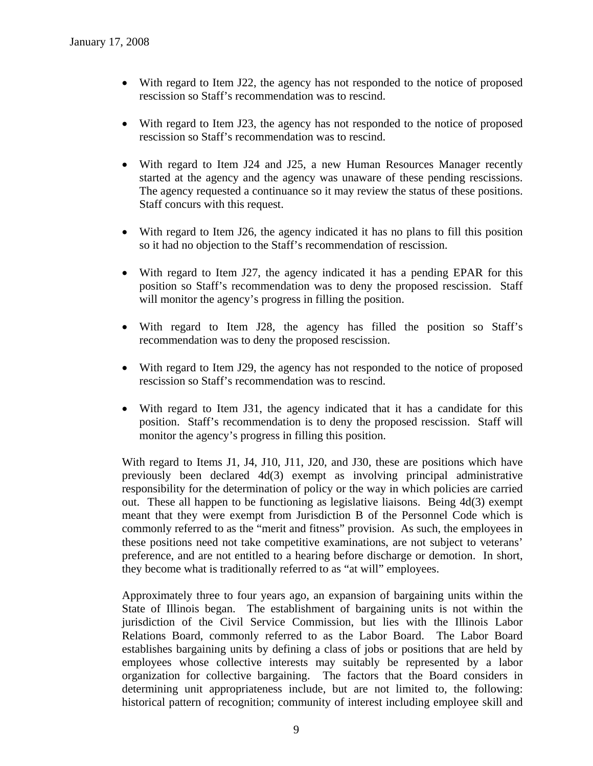- With regard to Item J22, the agency has not responded to the notice of proposed rescission so Staff's recommendation was to rescind.
- With regard to Item J23, the agency has not responded to the notice of proposed rescission so Staff's recommendation was to rescind.
- With regard to Item J24 and J25, a new Human Resources Manager recently started at the agency and the agency was unaware of these pending rescissions. The agency requested a continuance so it may review the status of these positions. Staff concurs with this request.
- With regard to Item J26, the agency indicated it has no plans to fill this position so it had no objection to the Staff's recommendation of rescission.
- With regard to Item J27, the agency indicated it has a pending EPAR for this position so Staff's recommendation was to deny the proposed rescission. Staff will monitor the agency's progress in filling the position.
- With regard to Item J28, the agency has filled the position so Staff's recommendation was to deny the proposed rescission.
- With regard to Item J29, the agency has not responded to the notice of proposed rescission so Staff's recommendation was to rescind.
- With regard to Item J31, the agency indicated that it has a candidate for this position. Staff's recommendation is to deny the proposed rescission. Staff will monitor the agency's progress in filling this position.

With regard to Items J1, J4, J10, J11, J20, and J30, these are positions which have previously been declared 4d(3) exempt as involving principal administrative responsibility for the determination of policy or the way in which policies are carried out. These all happen to be functioning as legislative liaisons. Being 4d(3) exempt meant that they were exempt from Jurisdiction B of the Personnel Code which is commonly referred to as the "merit and fitness" provision. As such, the employees in these positions need not take competitive examinations, are not subject to veterans' preference, and are not entitled to a hearing before discharge or demotion. In short, they become what is traditionally referred to as "at will" employees.

Approximately three to four years ago, an expansion of bargaining units within the State of Illinois began. The establishment of bargaining units is not within the jurisdiction of the Civil Service Commission, but lies with the Illinois Labor Relations Board, commonly referred to as the Labor Board. The Labor Board establishes bargaining units by defining a class of jobs or positions that are held by employees whose collective interests may suitably be represented by a labor organization for collective bargaining. The factors that the Board considers in determining unit appropriateness include, but are not limited to, the following: historical pattern of recognition; community of interest including employee skill and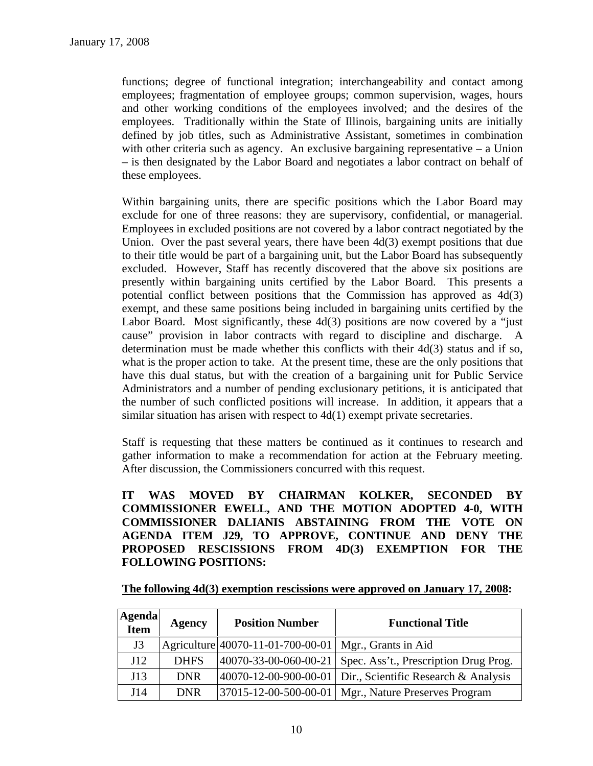functions; degree of functional integration; interchangeability and contact among employees; fragmentation of employee groups; common supervision, wages, hours and other working conditions of the employees involved; and the desires of the employees. Traditionally within the State of Illinois, bargaining units are initially defined by job titles, such as Administrative Assistant, sometimes in combination with other criteria such as agency. An exclusive bargaining representative  $-$  a Union – is then designated by the Labor Board and negotiates a labor contract on behalf of these employees.

Within bargaining units, there are specific positions which the Labor Board may exclude for one of three reasons: they are supervisory, confidential, or managerial. Employees in excluded positions are not covered by a labor contract negotiated by the Union. Over the past several years, there have been  $4d(3)$  exempt positions that due to their title would be part of a bargaining unit, but the Labor Board has subsequently excluded. However, Staff has recently discovered that the above six positions are presently within bargaining units certified by the Labor Board. This presents a potential conflict between positions that the Commission has approved as 4d(3) exempt, and these same positions being included in bargaining units certified by the Labor Board. Most significantly, these 4d(3) positions are now covered by a "just cause" provision in labor contracts with regard to discipline and discharge. A determination must be made whether this conflicts with their 4d(3) status and if so, what is the proper action to take. At the present time, these are the only positions that have this dual status, but with the creation of a bargaining unit for Public Service Administrators and a number of pending exclusionary petitions, it is anticipated that the number of such conflicted positions will increase. In addition, it appears that a similar situation has arisen with respect to 4d(1) exempt private secretaries.

Staff is requesting that these matters be continued as it continues to research and gather information to make a recommendation for action at the February meeting. After discussion, the Commissioners concurred with this request.

**IT WAS MOVED BY CHAIRMAN KOLKER, SECONDED BY COMMISSIONER EWELL, AND THE MOTION ADOPTED 4-0, WITH COMMISSIONER DALIANIS ABSTAINING FROM THE VOTE ON AGENDA ITEM J29, TO APPROVE, CONTINUE AND DENY THE PROPOSED RESCISSIONS FROM 4D(3) EXEMPTION FOR THE FOLLOWING POSITIONS:** 

**The following 4d(3) exemption rescissions were approved on January 17, 2008:**

| <b>Agenda</b><br>Item | Agency      | <b>Position Number</b>                                  | <b>Functional Title</b>                                        |
|-----------------------|-------------|---------------------------------------------------------|----------------------------------------------------------------|
| J3                    |             | Agriculture 40070-11-01-700-00-01   Mgr., Grants in Aid |                                                                |
| J12                   | <b>DHFS</b> | $ 40070 - 33 - 00 - 060 - 00 - 21 $                     | Spec. Ass't., Prescription Drug Prog.                          |
| J13                   | <b>DNR</b>  |                                                         | $ 40070-12-00-900-00-01 $ Dir., Scientific Research & Analysis |
| J14                   | <b>DNR</b>  |                                                         | 37015-12-00-500-00-01   Mgr., Nature Preserves Program         |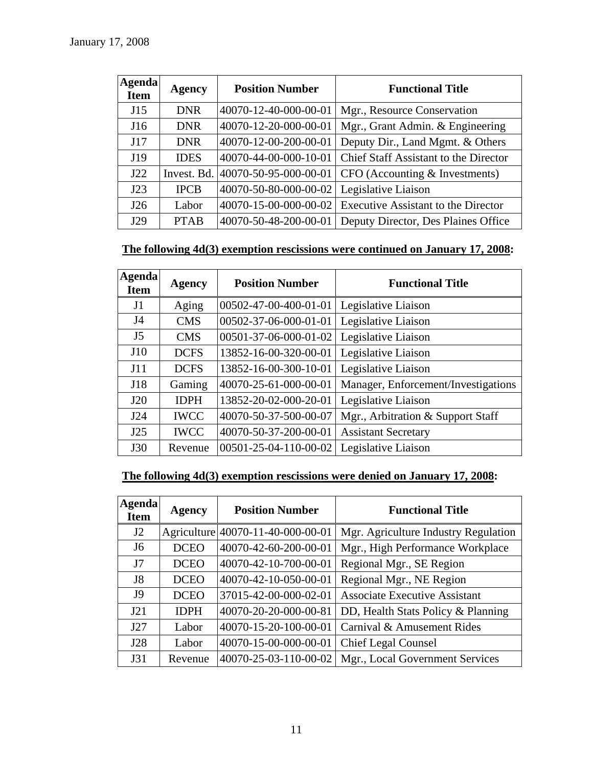| <b>Agenda</b><br><b>Item</b> | <b>Agency</b> | <b>Position Number</b> | <b>Functional Title</b>                                       |
|------------------------------|---------------|------------------------|---------------------------------------------------------------|
| J15                          | <b>DNR</b>    | 40070-12-40-000-00-01  | Mgr., Resource Conservation                                   |
| J16                          | <b>DNR</b>    | 40070-12-20-000-00-01  | Mgr., Grant Admin. & Engineering                              |
| J17                          | <b>DNR</b>    | 40070-12-00-200-00-01  | Deputy Dir., Land Mgmt. & Others                              |
| J19                          | <b>IDES</b>   | 40070-44-00-000-10-01  | <b>Chief Staff Assistant to the Director</b>                  |
| J22                          | Invest. Bd.   | 40070-50-95-000-00-01  | CFO (Accounting & Investments)                                |
| J23                          | <b>IPCB</b>   | 40070-50-80-000-00-02  | Legislative Liaison                                           |
| J26                          | Labor         |                        | $ 40070-15-00-000-00-02 $ Executive Assistant to the Director |
| J29                          | <b>PTAB</b>   | 40070-50-48-200-00-01  | Deputy Director, Des Plaines Office                           |

# **The following 4d(3) exemption rescissions were continued on January 17, 2008:**

| Agenda<br><b>Item</b> | <b>Agency</b> | <b>Position Number</b> | <b>Functional Title</b>             |
|-----------------------|---------------|------------------------|-------------------------------------|
| J <sub>1</sub>        | Aging         | 00502-47-00-400-01-01  | Legislative Liaison                 |
| J4                    | <b>CMS</b>    | 00502-37-06-000-01-01  | Legislative Liaison                 |
| J <sub>5</sub>        | <b>CMS</b>    | 00501-37-06-000-01-02  | Legislative Liaison                 |
| J10                   | <b>DCFS</b>   | 13852-16-00-320-00-01  | Legislative Liaison                 |
| J11                   | <b>DCFS</b>   | 13852-16-00-300-10-01  | Legislative Liaison                 |
| J18                   | Gaming        | 40070-25-61-000-00-01  | Manager, Enforcement/Investigations |
| J20                   | <b>IDPH</b>   | 13852-20-02-000-20-01  | Legislative Liaison                 |
| J24                   | <b>IWCC</b>   | 40070-50-37-500-00-07  | Mgr., Arbitration & Support Staff   |
| J25                   | <b>IWCC</b>   | 40070-50-37-200-00-01  | <b>Assistant Secretary</b>          |
| <b>J30</b>            | Revenue       | 00501-25-04-110-00-02  | Legislative Liaison                 |

# **The following 4d(3) exemption rescissions were denied on January 17, 2008:**

| <b>Agenda</b><br><b>Item</b> | <b>Agency</b> | <b>Position Number</b>            | <b>Functional Title</b>              |
|------------------------------|---------------|-----------------------------------|--------------------------------------|
| J2                           |               | Agriculture 40070-11-40-000-00-01 | Mgr. Agriculture Industry Regulation |
| J <sub>6</sub>               | <b>DCEO</b>   | 40070-42-60-200-00-01             | Mgr., High Performance Workplace     |
| J7                           | <b>DCEO</b>   | 40070-42-10-700-00-01             | Regional Mgr., SE Region             |
| J <sub>8</sub>               | <b>DCEO</b>   | 40070-42-10-050-00-01             | Regional Mgr., NE Region             |
| <b>J9</b>                    | <b>DCEO</b>   | 37015-42-00-000-02-01             | <b>Associate Executive Assistant</b> |
| J21                          | <b>IDPH</b>   | 40070-20-20-000-00-81             | DD, Health Stats Policy & Planning   |
| J27                          | Labor         | 40070-15-20-100-00-01             | Carnival & Amusement Rides           |
| J28                          | Labor         | 40070-15-00-000-00-01             | <b>Chief Legal Counsel</b>           |
| J31                          | Revenue       | 40070-25-03-110-00-02             | Mgr., Local Government Services      |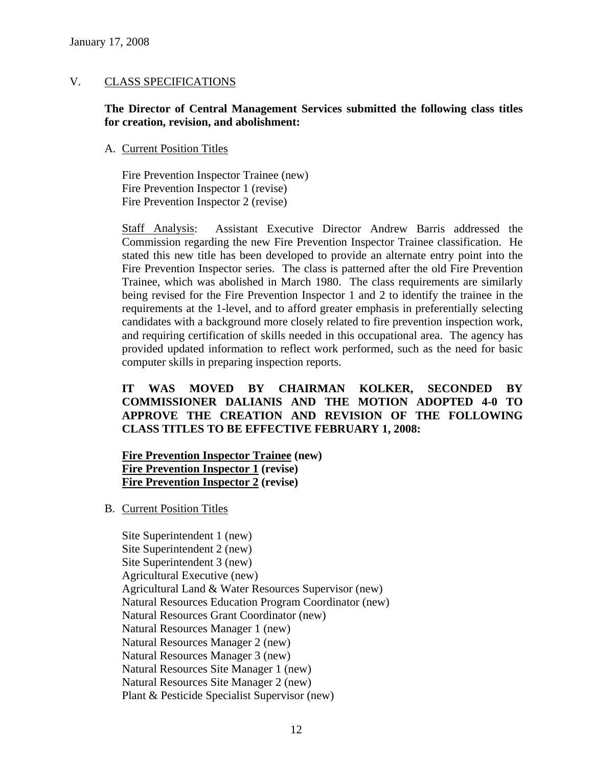# V. CLASS SPECIFICATIONS

# **The Director of Central Management Services submitted the following class titles for creation, revision, and abolishment:**

# A. Current Position Titles

Fire Prevention Inspector Trainee (new) Fire Prevention Inspector 1 (revise) Fire Prevention Inspector 2 (revise)

Staff Analysis: Assistant Executive Director Andrew Barris addressed the Commission regarding the new Fire Prevention Inspector Trainee classification. He stated this new title has been developed to provide an alternate entry point into the Fire Prevention Inspector series. The class is patterned after the old Fire Prevention Trainee, which was abolished in March 1980. The class requirements are similarly being revised for the Fire Prevention Inspector 1 and 2 to identify the trainee in the requirements at the 1-level, and to afford greater emphasis in preferentially selecting candidates with a background more closely related to fire prevention inspection work, and requiring certification of skills needed in this occupational area. The agency has provided updated information to reflect work performed, such as the need for basic computer skills in preparing inspection reports.

# **IT WAS MOVED BY CHAIRMAN KOLKER, SECONDED BY COMMISSIONER DALIANIS AND THE MOTION ADOPTED 4-0 TO APPROVE THE CREATION AND REVISION OF THE FOLLOWING CLASS TITLES TO BE EFFECTIVE FEBRUARY 1, 2008:**

# **Fire Prevention Inspector Trainee (new) Fire Prevention Inspector 1 (revise) Fire Prevention Inspector 2 (revise)**

B. Current Position Titles

Site Superintendent 1 (new) Site Superintendent 2 (new) Site Superintendent 3 (new) Agricultural Executive (new) Agricultural Land & Water Resources Supervisor (new) Natural Resources Education Program Coordinator (new) Natural Resources Grant Coordinator (new) Natural Resources Manager 1 (new) Natural Resources Manager 2 (new) Natural Resources Manager 3 (new) Natural Resources Site Manager 1 (new) Natural Resources Site Manager 2 (new) Plant & Pesticide Specialist Supervisor (new)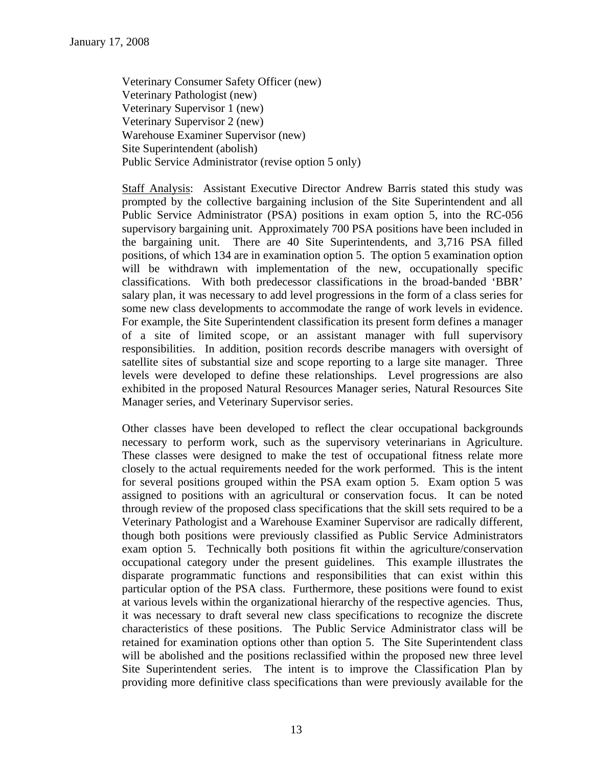Veterinary Consumer Safety Officer (new) Veterinary Pathologist (new) Veterinary Supervisor 1 (new) Veterinary Supervisor 2 (new) Warehouse Examiner Supervisor (new) Site Superintendent (abolish) Public Service Administrator (revise option 5 only)

Staff Analysis: Assistant Executive Director Andrew Barris stated this study was prompted by the collective bargaining inclusion of the Site Superintendent and all Public Service Administrator (PSA) positions in exam option 5, into the RC-056 supervisory bargaining unit. Approximately 700 PSA positions have been included in the bargaining unit. There are 40 Site Superintendents, and 3,716 PSA filled positions, of which 134 are in examination option 5. The option 5 examination option will be withdrawn with implementation of the new, occupationally specific classifications. With both predecessor classifications in the broad-banded 'BBR' salary plan, it was necessary to add level progressions in the form of a class series for some new class developments to accommodate the range of work levels in evidence. For example, the Site Superintendent classification its present form defines a manager of a site of limited scope, or an assistant manager with full supervisory responsibilities. In addition, position records describe managers with oversight of satellite sites of substantial size and scope reporting to a large site manager. Three levels were developed to define these relationships. Level progressions are also exhibited in the proposed Natural Resources Manager series, Natural Resources Site Manager series, and Veterinary Supervisor series.

Other classes have been developed to reflect the clear occupational backgrounds necessary to perform work, such as the supervisory veterinarians in Agriculture. These classes were designed to make the test of occupational fitness relate more closely to the actual requirements needed for the work performed. This is the intent for several positions grouped within the PSA exam option 5. Exam option 5 was assigned to positions with an agricultural or conservation focus. It can be noted through review of the proposed class specifications that the skill sets required to be a Veterinary Pathologist and a Warehouse Examiner Supervisor are radically different, though both positions were previously classified as Public Service Administrators exam option 5. Technically both positions fit within the agriculture/conservation occupational category under the present guidelines. This example illustrates the disparate programmatic functions and responsibilities that can exist within this particular option of the PSA class. Furthermore, these positions were found to exist at various levels within the organizational hierarchy of the respective agencies. Thus, it was necessary to draft several new class specifications to recognize the discrete characteristics of these positions. The Public Service Administrator class will be retained for examination options other than option 5. The Site Superintendent class will be abolished and the positions reclassified within the proposed new three level Site Superintendent series. The intent is to improve the Classification Plan by providing more definitive class specifications than were previously available for the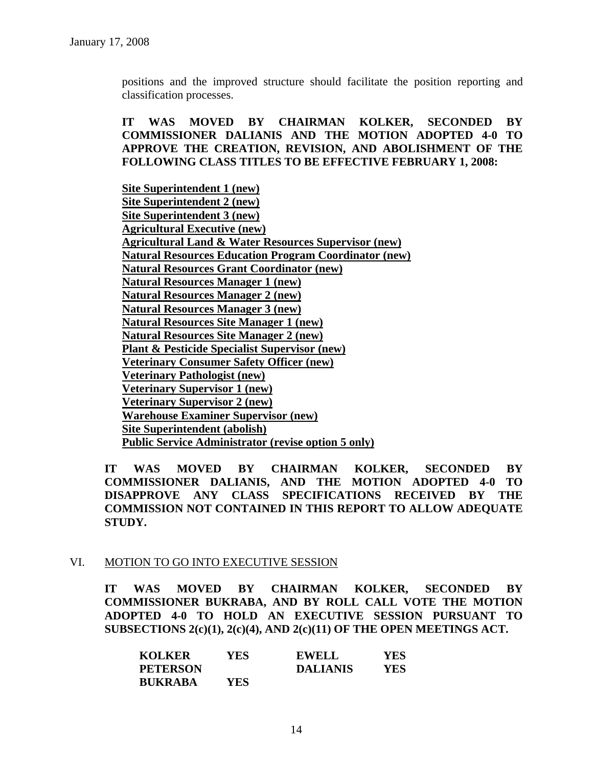positions and the improved structure should facilitate the position reporting and classification processes.

**IT WAS MOVED BY CHAIRMAN KOLKER, SECONDED BY COMMISSIONER DALIANIS AND THE MOTION ADOPTED 4-0 TO APPROVE THE CREATION, REVISION, AND ABOLISHMENT OF THE FOLLOWING CLASS TITLES TO BE EFFECTIVE FEBRUARY 1, 2008:** 

**Site Superintendent 1 (new) Site Superintendent 2 (new) Site Superintendent 3 (new) Agricultural Executive (new) Agricultural Land & Water Resources Supervisor (new) Natural Resources Education Program Coordinator (new) Natural Resources Grant Coordinator (new) Natural Resources Manager 1 (new) Natural Resources Manager 2 (new) Natural Resources Manager 3 (new) Natural Resources Site Manager 1 (new) Natural Resources Site Manager 2 (new) Plant & Pesticide Specialist Supervisor (new) Veterinary Consumer Safety Officer (new) Veterinary Pathologist (new) Veterinary Supervisor 1 (new) Veterinary Supervisor 2 (new) Warehouse Examiner Supervisor (new) Site Superintendent (abolish) Public Service Administrator (revise option 5 only)**

**IT WAS MOVED BY CHAIRMAN KOLKER, SECONDED BY COMMISSIONER DALIANIS, AND THE MOTION ADOPTED 4-0 TO DISAPPROVE ANY CLASS SPECIFICATIONS RECEIVED BY THE COMMISSION NOT CONTAINED IN THIS REPORT TO ALLOW ADEQUATE STUDY.** 

### VI. MOTION TO GO INTO EXECUTIVE SESSION

**IT WAS MOVED BY CHAIRMAN KOLKER, SECONDED BY COMMISSIONER BUKRABA, AND BY ROLL CALL VOTE THE MOTION ADOPTED 4-0 TO HOLD AN EXECUTIVE SESSION PURSUANT TO SUBSECTIONS 2(c)(1), 2(c)(4), AND 2(c)(11) OF THE OPEN MEETINGS ACT.** 

| <b>KOLKER</b>   | YES | <b>EWELL</b>    | YES |
|-----------------|-----|-----------------|-----|
| <b>PETERSON</b> |     | <b>DALIANIS</b> | YES |
| <b>BUKRABA</b>  | YES |                 |     |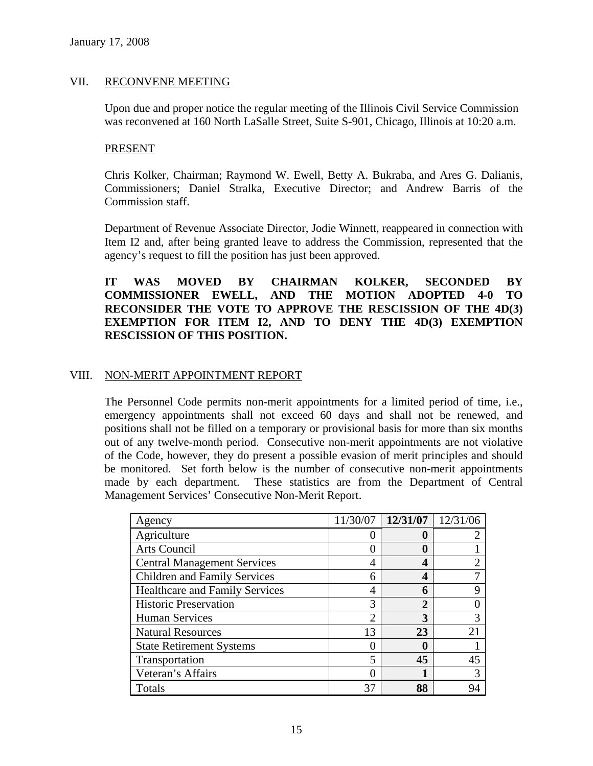# VII. RECONVENE MEETING

Upon due and proper notice the regular meeting of the Illinois Civil Service Commission was reconvened at 160 North LaSalle Street, Suite S-901, Chicago, Illinois at 10:20 a.m.

### PRESENT

Chris Kolker, Chairman; Raymond W. Ewell, Betty A. Bukraba, and Ares G. Dalianis, Commissioners; Daniel Stralka, Executive Director; and Andrew Barris of the Commission staff.

Department of Revenue Associate Director, Jodie Winnett, reappeared in connection with Item I2 and, after being granted leave to address the Commission, represented that the agency's request to fill the position has just been approved.

# **IT WAS MOVED BY CHAIRMAN KOLKER, SECONDED BY COMMISSIONER EWELL, AND THE MOTION ADOPTED 4-0 TO RECONSIDER THE VOTE TO APPROVE THE RESCISSION OF THE 4D(3) EXEMPTION FOR ITEM I2, AND TO DENY THE 4D(3) EXEMPTION RESCISSION OF THIS POSITION.**

### VIII. NON-MERIT APPOINTMENT REPORT

The Personnel Code permits non-merit appointments for a limited period of time, i.e., emergency appointments shall not exceed 60 days and shall not be renewed, and positions shall not be filled on a temporary or provisional basis for more than six months out of any twelve-month period. Consecutive non-merit appointments are not violative of the Code, however, they do present a possible evasion of merit principles and should be monitored. Set forth below is the number of consecutive non-merit appointments made by each department. These statistics are from the Department of Central Management Services' Consecutive Non-Merit Report.

| Agency                                | 11/30/07 | 12/31/07 | 12/31/06 |
|---------------------------------------|----------|----------|----------|
| Agriculture                           |          |          |          |
| Arts Council                          |          | 0        |          |
| <b>Central Management Services</b>    | 4        | 4        |          |
| Children and Family Services          | 6        | 4        |          |
| <b>Healthcare and Family Services</b> | 4        | 6        | Q        |
| <b>Historic Preservation</b>          | 3        | 2        |          |
| <b>Human Services</b>                 | ◠        | 3        | 3        |
| <b>Natural Resources</b>              | 13       | 23       | 21       |
| <b>State Retirement Systems</b>       |          | 0        |          |
| Transportation                        | 5        | 45       | 45       |
| Veteran's Affairs                     |          |          |          |
| Totals                                | 37       | 88       | 94       |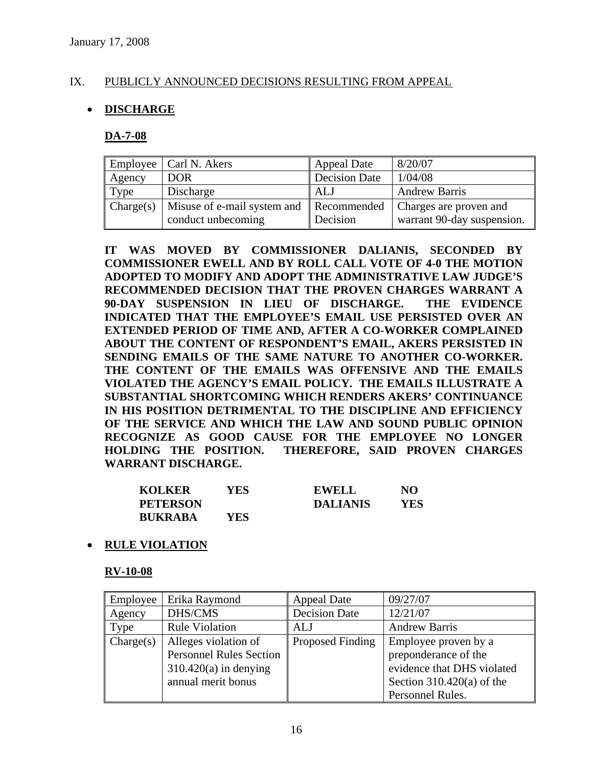# IX. PUBLICLY ANNOUNCED DECISIONS RESULTING FROM APPEAL

# • **DISCHARGE**

### **DA-7-08**

|           | Employee   Carl N. Akers                | <b>Appeal Date</b>   | 8/20/07                    |
|-----------|-----------------------------------------|----------------------|----------------------------|
| Agency    | <b>DOR</b>                              | <b>Decision Date</b> | 1/04/08                    |
| Type      | Discharge                               | ALJ                  | <b>Andrew Barris</b>       |
| Change(s) | Misuse of e-mail system and Recommended |                      | Charges are proven and     |
|           | conduct unbecoming                      | Decision             | warrant 90-day suspension. |

**IT WAS MOVED BY COMMISSIONER DALIANIS, SECONDED BY COMMISSIONER EWELL AND BY ROLL CALL VOTE OF 4-0 THE MOTION ADOPTED TO MODIFY AND ADOPT THE ADMINISTRATIVE LAW JUDGE'S RECOMMENDED DECISION THAT THE PROVEN CHARGES WARRANT A 90-DAY SUSPENSION IN LIEU OF DISCHARGE. THE EVIDENCE INDICATED THAT THE EMPLOYEE'S EMAIL USE PERSISTED OVER AN EXTENDED PERIOD OF TIME AND, AFTER A CO-WORKER COMPLAINED ABOUT THE CONTENT OF RESPONDENT'S EMAIL, AKERS PERSISTED IN SENDING EMAILS OF THE SAME NATURE TO ANOTHER CO-WORKER. THE CONTENT OF THE EMAILS WAS OFFENSIVE AND THE EMAILS VIOLATED THE AGENCY'S EMAIL POLICY. THE EMAILS ILLUSTRATE A SUBSTANTIAL SHORTCOMING WHICH RENDERS AKERS' CONTINUANCE IN HIS POSITION DETRIMENTAL TO THE DISCIPLINE AND EFFICIENCY OF THE SERVICE AND WHICH THE LAW AND SOUND PUBLIC OPINION RECOGNIZE AS GOOD CAUSE FOR THE EMPLOYEE NO LONGER HOLDING THE POSITION. THEREFORE, SAID PROVEN CHARGES WARRANT DISCHARGE.** 

| <b>KOLKER</b>   | YES | <b>EWELL</b>    | NO  |
|-----------------|-----|-----------------|-----|
| <b>PETERSON</b> |     | <b>DALIANIS</b> | YES |
| <b>BUKRABA</b>  | YES |                 |     |

### • **RULE VIOLATION**

### **RV-10-08**

| Employee  | Erika Raymond                                                                                           | <b>Appeal Date</b>   | 09/27/07                                                                                                                      |
|-----------|---------------------------------------------------------------------------------------------------------|----------------------|-------------------------------------------------------------------------------------------------------------------------------|
| Agency    | DHS/CMS                                                                                                 | <b>Decision Date</b> | 12/21/07                                                                                                                      |
| Type      | <b>Rule Violation</b>                                                                                   | <b>ALJ</b>           | <b>Andrew Barris</b>                                                                                                          |
| Change(s) | Alleges violation of<br><b>Personnel Rules Section</b><br>$310.420(a)$ in denying<br>annual merit bonus | Proposed Finding     | Employee proven by a<br>preponderance of the<br>evidence that DHS violated<br>Section $310.420(a)$ of the<br>Personnel Rules. |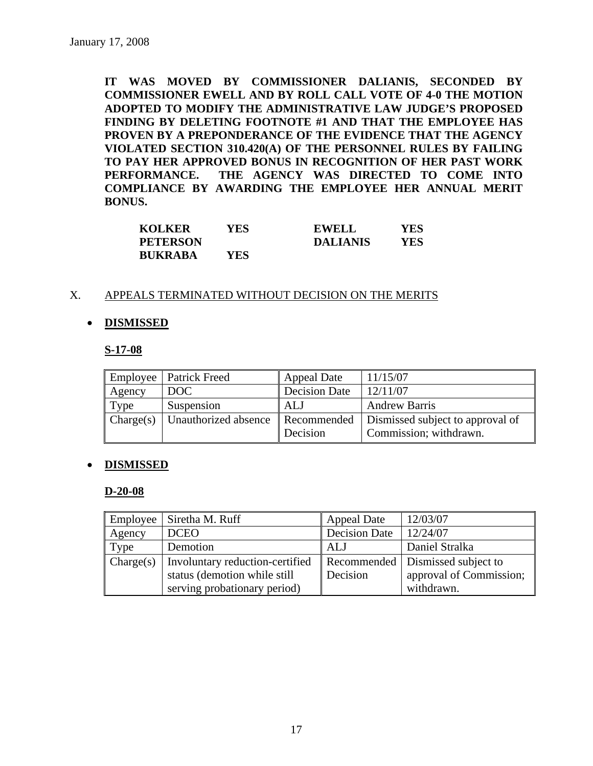**IT WAS MOVED BY COMMISSIONER DALIANIS, SECONDED BY COMMISSIONER EWELL AND BY ROLL CALL VOTE OF 4-0 THE MOTION ADOPTED TO MODIFY THE ADMINISTRATIVE LAW JUDGE'S PROPOSED FINDING BY DELETING FOOTNOTE #1 AND THAT THE EMPLOYEE HAS PROVEN BY A PREPONDERANCE OF THE EVIDENCE THAT THE AGENCY VIOLATED SECTION 310.420(A) OF THE PERSONNEL RULES BY FAILING TO PAY HER APPROVED BONUS IN RECOGNITION OF HER PAST WORK PERFORMANCE. THE AGENCY WAS DIRECTED TO COME INTO COMPLIANCE BY AWARDING THE EMPLOYEE HER ANNUAL MERIT BONUS.** 

| <b>KOLKER</b>   | YES | <b>EWELL</b>    | YES |
|-----------------|-----|-----------------|-----|
| <b>PETERSON</b> |     | <b>DALIANIS</b> | YES |
| <b>BUKRABA</b>  | YES |                 |     |

### X. APPEALS TERMINATED WITHOUT DECISION ON THE MERITS

# • **DISMISSED**

### **S-17-08**

|           | Employee   Patrick Freed | Appeal Date          | 11/15/07                         |
|-----------|--------------------------|----------------------|----------------------------------|
| Agency    | DOC                      | <b>Decision Date</b> | 12/11/07                         |
| Type      | Suspension               | <b>ALJ</b>           | <b>Andrew Barris</b>             |
| Change(s) | Unauthorized absence     | Recommended          | Dismissed subject to approval of |
|           |                          | Decision             | Commission; withdrawn.           |

### • **DISMISSED**

### **D-20-08**

| Employee  | Siretha M. Ruff                 | <b>Appeal Date</b>   | 12/03/07                           |
|-----------|---------------------------------|----------------------|------------------------------------|
| Agency    | <b>DCEO</b>                     | <b>Decision Date</b> | 12/24/07                           |
| Type      | Demotion                        | ALJ                  | Daniel Stralka                     |
| Change(s) | Involuntary reduction-certified |                      | Recommended   Dismissed subject to |
|           | status (demotion while still    | Decision             | approval of Commission;            |
|           | serving probationary period)    |                      | withdrawn.                         |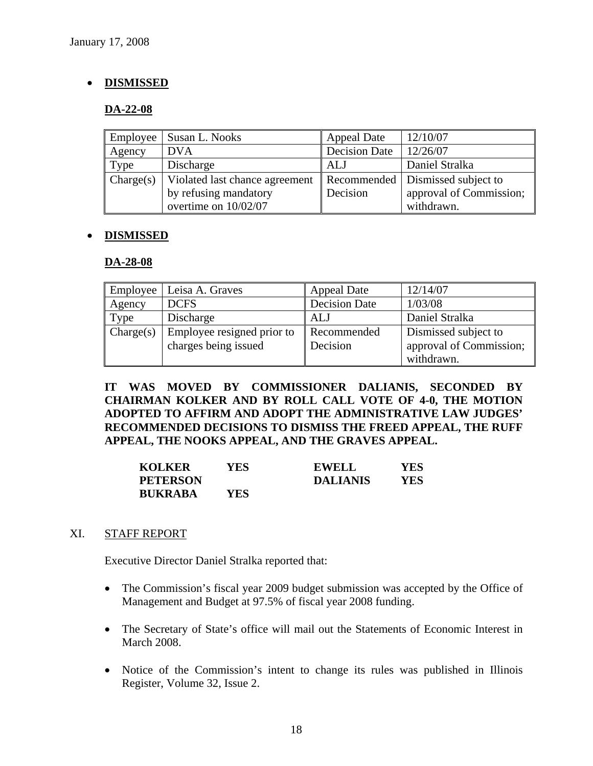# • **DISMISSED**

# **DA-22-08**

| Employee  | Susan L. Nooks                 | <b>Appeal Date</b>   | 12/10/07                           |
|-----------|--------------------------------|----------------------|------------------------------------|
| Agency    | <b>DVA</b>                     | <b>Decision Date</b> | 12/26/07                           |
| Type      | Discharge                      | ALJ                  | Daniel Stralka                     |
| Change(s) | Violated last chance agreement |                      | Recommended   Dismissed subject to |
|           | by refusing mandatory          | Decision             | approval of Commission;            |
|           | overtime on 10/02/07           |                      | withdrawn.                         |

### • **DISMISSED**

### **DA-28-08**

| <b>Employee</b> | Leisa A. Graves                                    | <b>Appeal Date</b>      | 12/14/07                                        |
|-----------------|----------------------------------------------------|-------------------------|-------------------------------------------------|
| Agency          | <b>DCFS</b>                                        | <b>Decision Date</b>    | 1/03/08                                         |
| Type            | Discharge                                          | <b>ALJ</b>              | Daniel Stralka                                  |
| Change(s)       | Employee resigned prior to<br>charges being issued | Recommended<br>Decision | Dismissed subject to<br>approval of Commission; |
|                 |                                                    |                         | withdrawn.                                      |

**IT WAS MOVED BY COMMISSIONER DALIANIS, SECONDED BY CHAIRMAN KOLKER AND BY ROLL CALL VOTE OF 4-0, THE MOTION ADOPTED TO AFFIRM AND ADOPT THE ADMINISTRATIVE LAW JUDGES' RECOMMENDED DECISIONS TO DISMISS THE FREED APPEAL, THE RUFF APPEAL, THE NOOKS APPEAL, AND THE GRAVES APPEAL.** 

| <b>KOLKER</b>   | YES. | EWELL           | YES        |
|-----------------|------|-----------------|------------|
| <b>PETERSON</b> |      | <b>DALIANIS</b> | <b>YES</b> |
| <b>BUKRABA</b>  | YES  |                 |            |

### XI. STAFF REPORT

Executive Director Daniel Stralka reported that:

- The Commission's fiscal year 2009 budget submission was accepted by the Office of Management and Budget at 97.5% of fiscal year 2008 funding.
- The Secretary of State's office will mail out the Statements of Economic Interest in March 2008.
- Notice of the Commission's intent to change its rules was published in Illinois Register, Volume 32, Issue 2.